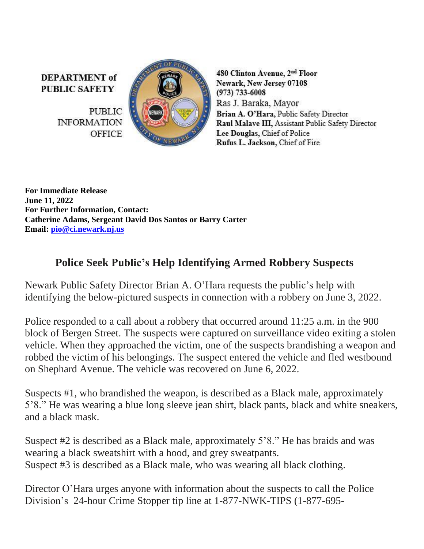**DEPARTMENT** of **PUBLIC SAFETY** 

> **PUBLIC INFORMATION OFFICE**



480 Clinton Avenue, 2<sup>nd</sup> Floor Newark, New Jersey 07108  $(973) 733 - 6008$ Ras J. Baraka, Mayor Brian A. O'Hara, Public Safety Director Raul Malave III, Assistant Public Safety Director Lee Douglas, Chief of Police Rufus L. Jackson, Chief of Fire

**For Immediate Release June 11, 2022 For Further Information, Contact: Catherine Adams, Sergeant David Dos Santos or Barry Carter Email: [pio@ci.newark.nj.us](mailto:pio@ci.newark.nj.us)**

## **Police Seek Public's Help Identifying Armed Robbery Suspects**

Newark Public Safety Director Brian A. O'Hara requests the public's help with identifying the below-pictured suspects in connection with a robbery on June 3, 2022.

Police responded to a call about a robbery that occurred around 11:25 a.m. in the 900 block of Bergen Street. The suspects were captured on surveillance video exiting a stolen vehicle. When they approached the victim, one of the suspects brandishing a weapon and robbed the victim of his belongings. The suspect entered the vehicle and fled westbound on Shephard Avenue. The vehicle was recovered on June 6, 2022.

Suspects #1, who brandished the weapon, is described as a Black male, approximately 5'8." He was wearing a blue long sleeve jean shirt, black pants, black and white sneakers, and a black mask.

Suspect #2 is described as a Black male, approximately 5'8." He has braids and was wearing a black sweatshirt with a hood, and grey sweatpants. Suspect #3 is described as a Black male, who was wearing all black clothing.

Director O'Hara urges anyone with information about the suspects to call the Police Division's 24-hour Crime Stopper tip line at 1-877-NWK-TIPS (1-877-695-